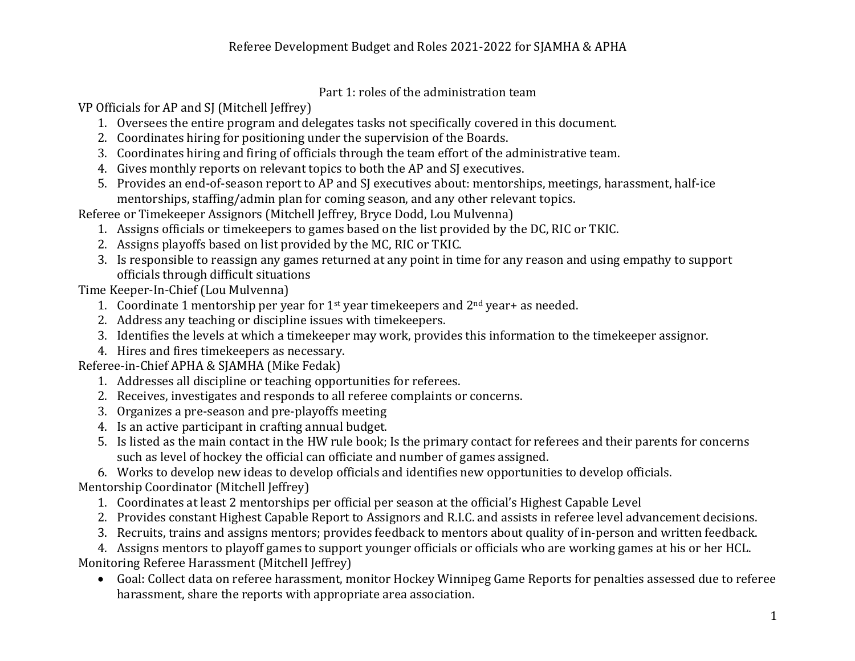## Part 1: roles of the administration team

VP Officials for AP and SJ (Mitchell Jeffrey)

- 1. Oversees the entire program and delegates tasks not specifically covered in this document.
- 2. Coordinates hiring for positioning under the supervision of the Boards.
- 3. Coordinates hiring and firing of officials through the team effort of the administrative team.
- 4. Gives monthly reports on relevant topics to both the AP and SI executives.
- 5. Provides an end-of-season report to AP and SI executives about: mentorships, meetings, harassment, half-ice mentorships, staffing/admin plan for coming season, and any other relevant topics.

Referee or Timekeeper Assignors (Mitchell Jeffrey, Bryce Dodd, Lou Mulvenna)

- 1. Assigns officials or timekeepers to games based on the list provided by the DC, RIC or TKIC.
- 2. Assigns playoffs based on list provided by the MC, RIC or TKIC.
- 3. Is responsible to reassign any games returned at any point in time for any reason and using empathy to support officials through difficult situations

Time Keeper-In-Chief (Lou Mulvenna)

- 1. Coordinate 1 mentorship per year for  $1^{st}$  year timekeepers and  $2^{nd}$  year+ as needed.
- 2. Address any teaching or discipline issues with timekeepers.
- 3. Identifies the levels at which a timekeeper may work, provides this information to the timekeeper assignor.
- 4. Hires and fires timekeepers as necessary.

Referee-in-Chief APHA & SJAMHA (Mike Fedak)

- 1. Addresses all discipline or teaching opportunities for referees.
- 2. Receives, investigates and responds to all referee complaints or concerns.
- 3. Organizes a pre-season and pre-playoffs meeting
- 4. Is an active participant in crafting annual budget.
- 5. Is listed as the main contact in the HW rule book; Is the primary contact for referees and their parents for concerns such as level of hockey the official can officiate and number of games assigned.

6. Works to develop new ideas to develop officials and identifies new opportunities to develop officials.

Mentorship Coordinator (Mitchell Jeffrey)

- 1. Coordinates at least 2 mentorships per official per season at the official's Highest Capable Level
- 2. Provides constant Highest Capable Report to Assignors and R.I.C. and assists in referee level advancement decisions.
- 3. Recruits, trains and assigns mentors; provides feedback to mentors about quality of in-person and written feedback.

4. Assigns mentors to playoff games to support younger officials or officials who are working games at his or her HCL. Monitoring Referee Harassment (Mitchell Jeffrey)

• Goal: Collect data on referee harassment, monitor Hockey Winnipeg Game Reports for penalties assessed due to referee harassment, share the reports with appropriate area association.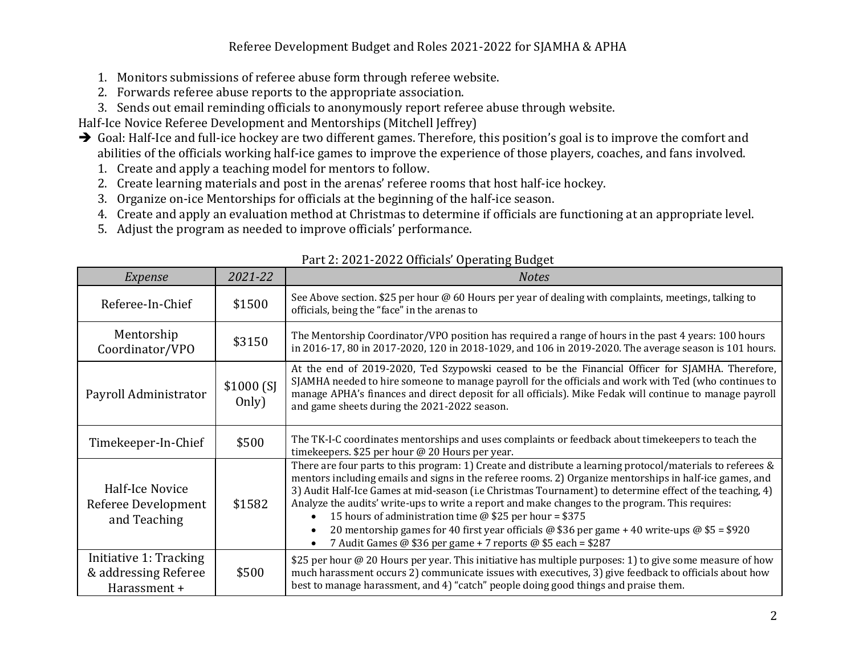Referee Development Budget and Roles 2021-2022 for SJAMHA & APHA

- 1. Monitors submissions of referee abuse form through referee website.
- 2. Forwards referee abuse reports to the appropriate association.
- 3. Sends out email reminding officials to anonymously report referee abuse through website.

Half-Ice Novice Referee Development and Mentorships (Mitchell Jeffrey)

→ Goal: Half-Ice and full-ice hockey are two different games. Therefore, this position's goal is to improve the comfort and abilities of the officials working half-ice games to improve the experience of those players, coaches, and fans involved.

- 1. Create and apply a teaching model for mentors to follow.
- 2. Create learning materials and post in the arenas' referee rooms that host half-ice hockey.
- 3. Organize on-ice Mentorships for officials at the beginning of the half-ice season.
- 4. Create and apply an evaluation method at Christmas to determine if officials are functioning at an appropriate level.
- 5. Adjust the program as needed to improve officials' performance.

| Expense                                                        | 2021-22            | <b>Notes</b>                                                                                                                                                                                                                                                                                                                                                                                                                                                                                                                                                                                                                                                      |
|----------------------------------------------------------------|--------------------|-------------------------------------------------------------------------------------------------------------------------------------------------------------------------------------------------------------------------------------------------------------------------------------------------------------------------------------------------------------------------------------------------------------------------------------------------------------------------------------------------------------------------------------------------------------------------------------------------------------------------------------------------------------------|
| Referee-In-Chief                                               | \$1500             | See Above section. \$25 per hour @ 60 Hours per year of dealing with complaints, meetings, talking to<br>officials, being the "face" in the arenas to                                                                                                                                                                                                                                                                                                                                                                                                                                                                                                             |
| Mentorship<br>Coordinator/VPO                                  | \$3150             | The Mentorship Coordinator/VPO position has required a range of hours in the past 4 years: 100 hours<br>in 2016-17, 80 in 2017-2020, 120 in 2018-1029, and 106 in 2019-2020. The average season is 101 hours.                                                                                                                                                                                                                                                                                                                                                                                                                                                     |
| Payroll Administrator                                          | \$1000(S]<br>Only) | At the end of 2019-2020, Ted Szypowski ceased to be the Financial Officer for SJAMHA. Therefore,<br>SJAMHA needed to hire someone to manage payroll for the officials and work with Ted (who continues to<br>manage APHA's finances and direct deposit for all officials). Mike Fedak will continue to manage payroll<br>and game sheets during the 2021-2022 season.                                                                                                                                                                                                                                                                                             |
| Timekeeper-In-Chief                                            | \$500              | The TK-I-C coordinates mentorships and uses complaints or feedback about timekeepers to teach the<br>timekeepers. \$25 per hour @ 20 Hours per year.                                                                                                                                                                                                                                                                                                                                                                                                                                                                                                              |
| Half-Ice Novice<br>Referee Development<br>and Teaching         | \$1582             | There are four parts to this program: 1) Create and distribute a learning protocol/materials to referees &<br>mentors including emails and signs in the referee rooms. 2) Organize mentorships in half-ice games, and<br>3) Audit Half-Ice Games at mid-season (i.e Christmas Tournament) to determine effect of the teaching, 4)<br>Analyze the audits' write-ups to write a report and make changes to the program. This requires:<br>15 hours of administration time $@$ \$25 per hour = \$375<br>20 mentorship games for 40 first year officials @ \$36 per game + 40 write-ups @ \$5 = \$920<br>7 Audit Games @ \$36 per game + 7 reports @ \$5 each = \$287 |
| Initiative 1: Tracking<br>& addressing Referee<br>Harassment + | \$500              | \$25 per hour @ 20 Hours per year. This initiative has multiple purposes: 1) to give some measure of how<br>much harassment occurs 2) communicate issues with executives, 3) give feedback to officials about how<br>best to manage harassment, and 4) "catch" people doing good things and praise them.                                                                                                                                                                                                                                                                                                                                                          |

Part 2: 2021-2022 Officials' Operating Budget